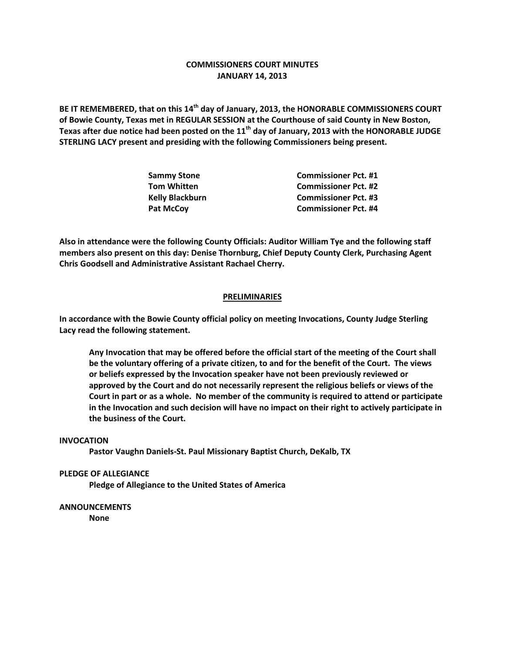## **COMMISSIONERS COURT MINUTES JANUARY 14, 2013**

**BE IT REMEMBERED, that on this 14th day of January, 2013, the HONORABLE COMMISSIONERS COURT of Bowie County, Texas met in REGULAR SESSION at the Courthouse of said County in New Boston, Texas after due notice had been posted on the 11th day of January, 2013 with the HONORABLE JUDGE STERLING LACY present and presiding with the following Commissioners being present.**

| <b>Commissioner Pct. #1</b> |
|-----------------------------|
| <b>Commissioner Pct. #2</b> |
| <b>Commissioner Pct. #3</b> |
| <b>Commissioner Pct. #4</b> |
|                             |

**Also in attendance were the following County Officials: Auditor William Tye and the following staff members also present on this day: Denise Thornburg, Chief Deputy County Clerk, Purchasing Agent Chris Goodsell and Administrative Assistant Rachael Cherry.**

## **PRELIMINARIES**

**In accordance with the Bowie County official policy on meeting Invocations, County Judge Sterling Lacy read the following statement.**

**Any Invocation that may be offered before the official start of the meeting of the Court shall be the voluntary offering of a private citizen, to and for the benefit of the Court. The views or beliefs expressed by the Invocation speaker have not been previously reviewed or approved by the Court and do not necessarily represent the religious beliefs or views of the Court in part or as a whole. No member of the community is required to attend or participate in the Invocation and such decision will have no impact on their right to actively participate in the business of the Court.**

## **INVOCATION**

**Pastor Vaughn Daniels-St. Paul Missionary Baptist Church, DeKalb, TX**

**PLEDGE OF ALLEGIANCE**

**Pledge of Allegiance to the United States of America**

**ANNOUNCEMENTS None**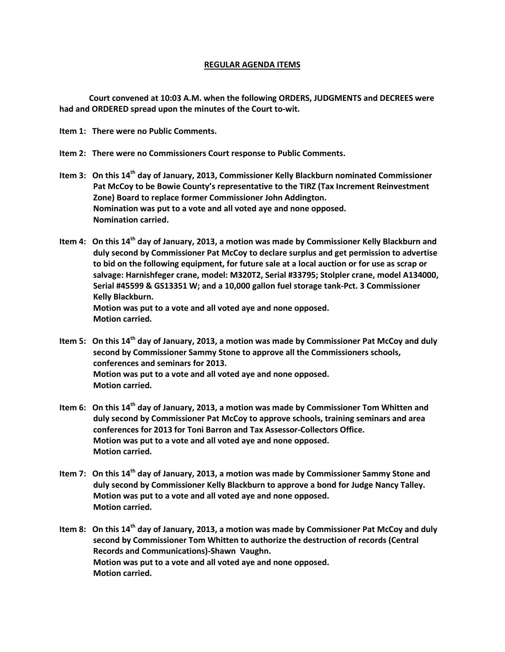## **REGULAR AGENDA ITEMS**

**Court convened at 10:03 A.M. when the following ORDERS, JUDGMENTS and DECREES were had and ORDERED spread upon the minutes of the Court to-wit.**

**Item 1: There were no Public Comments.**

- **Item 2: There were no Commissioners Court response to Public Comments.**
- **Item 3: On this 14th day of January, 2013, Commissioner Kelly Blackburn nominated Commissioner Pat McCoy to be Bowie County's representative to the TIRZ (Tax Increment Reinvestment Zone) Board to replace former Commissioner John Addington. Nomination was put to a vote and all voted aye and none opposed. Nomination carried.**
- **Item 4: On this 14th day of January, 2013, a motion was made by Commissioner Kelly Blackburn and duly second by Commissioner Pat McCoy to declare surplus and get permission to advertise to bid on the following equipment, for future sale at a local auction or for use as scrap or salvage: Harnishfeger crane, model: M320T2, Serial #33795; Stolpler crane, model A134000, Serial #45599 & GS13351 W; and a 10,000 gallon fuel storage tank-Pct. 3 Commissioner Kelly Blackburn. Motion was put to a vote and all voted aye and none opposed. Motion carried.**
- **Item 5: On this 14th day of January, 2013, a motion was made by Commissioner Pat McCoy and duly second by Commissioner Sammy Stone to approve all the Commissioners schools, conferences and seminars for 2013. Motion was put to a vote and all voted aye and none opposed. Motion carried.**
- **Item 6: On this 14th day of January, 2013, a motion was made by Commissioner Tom Whitten and duly second by Commissioner Pat McCoy to approve schools, training seminars and area conferences for 2013 for Toni Barron and Tax Assessor-Collectors Office. Motion was put to a vote and all voted aye and none opposed. Motion carried.**
- **Item 7: On this 14th day of January, 2013, a motion was made by Commissioner Sammy Stone and duly second by Commissioner Kelly Blackburn to approve a bond for Judge Nancy Talley. Motion was put to a vote and all voted aye and none opposed. Motion carried.**
- **Item 8: On this 14th day of January, 2013, a motion was made by Commissioner Pat McCoy and duly second by Commissioner Tom Whitten to authorize the destruction of records (Central Records and Communications)-Shawn Vaughn. Motion was put to a vote and all voted aye and none opposed. Motion carried.**